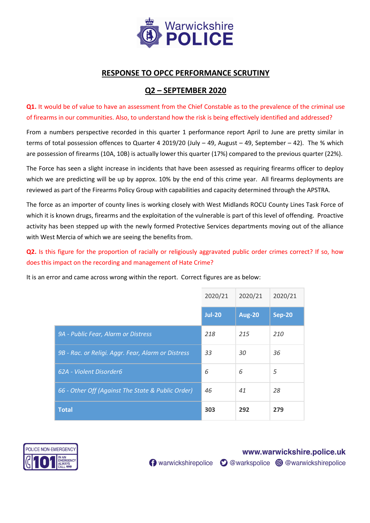

# RESPONSE TO OPCC PERFORMANCE SCRUTINY

### Q2 – SEPTEMBER 2020

Q1. It would be of value to have an assessment from the Chief Constable as to the prevalence of the criminal use of firearms in our communities. Also, to understand how the risk is being effectively identified and addressed?

From a numbers perspective recorded in this quarter 1 performance report April to June are pretty similar in terms of total possession offences to Quarter 4 2019/20 (July – 49, August – 49, September – 42). The % which are possession of firearms (10A, 10B) is actually lower this quarter (17%) compared to the previous quarter (22%).

The Force has seen a slight increase in incidents that have been assessed as requiring firearms officer to deploy which we are predicting will be up by approx. 10% by the end of this crime year. All firearms deployments are reviewed as part of the Firearms Policy Group with capabilities and capacity determined through the APSTRA.

The force as an importer of county lines is working closely with West Midlands ROCU County Lines Task Force of which it is known drugs, firearms and the exploitation of the vulnerable is part of this level of offending. Proactive activity has been stepped up with the newly formed Protective Services departments moving out of the alliance with West Mercia of which we are seeing the benefits from.

Q2. Is this figure for the proportion of racially or religiously aggravated public order crimes correct? If so, how does this impact on the recording and management of Hate Crime?

It is an error and came across wrong within the report. Correct figures are as below:

|                                                    | 2020/21       | 2020/21       | 2020/21       |
|----------------------------------------------------|---------------|---------------|---------------|
|                                                    | <b>Jul-20</b> | <b>Aug-20</b> | <b>Sep-20</b> |
| 9A - Public Fear, Alarm or Distress                | 218           | 215           | 210           |
| 9B - Rac. or Religi. Aggr. Fear, Alarm or Distress | 33            | 30            | 36            |
| 62A - Violent Disorder6                            | 6             | 6             | 5             |
| 66 - Other Off (Against The State & Public Order)  | 46            | 41            | 28            |
| <b>Total</b>                                       | 303           | 292           | 279           |



www.warwickshire.police.uk

n warwickshirepolice O @warkspolice O @warwickshirepolice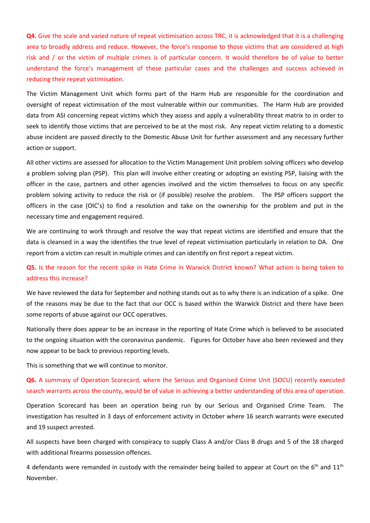Q4. Give the scale and varied nature of repeat victimisation across TRC, it is acknowledged that it is a challenging area to broadly address and reduce. However, the force's response to those victims that are considered at high risk and / or the victim of multiple crimes is of particular concern. It would therefore be of value to better understand the force's management of these particular cases and the challenges and success achieved in reducing their repeat victimisation.

The Victim Management Unit which forms part of the Harm Hub are responsible for the coordination and oversight of repeat victimisation of the most vulnerable within our communities. The Harm Hub are provided data from ASI concerning repeat victims which they assess and apply a vulnerability threat matrix to in order to seek to identify those victims that are perceived to be at the most risk. Any repeat victim relating to a domestic abuse incident are passed directly to the Domestic Abuse Unit for further assessment and any necessary further action or support.

All other victims are assessed for allocation to the Victim Management Unit problem solving officers who develop a problem solving plan (PSP). This plan will involve either creating or adopting an existing PSP, liaising with the officer in the case, partners and other agencies involved and the victim themselves to focus on any specific problem solving activity to reduce the risk or (if possible) resolve the problem. The PSP officers support the officers in the case (OIC's) to find a resolution and take on the ownership for the problem and put in the necessary time and engagement required.

We are continuing to work through and resolve the way that repeat victims are identified and ensure that the data is cleansed in a way the identifies the true level of repeat victimisation particularly in relation to DA. One report from a victim can result in multiple crimes and can identify on first report a repeat victim.

### Q5. Is the reason for the recent spike in Hate Crime in Warwick District known? What action is being taken to address this increase?

We have reviewed the data for September and nothing stands out as to why there is an indication of a spike. One of the reasons may be due to the fact that our OCC is based within the Warwick District and there have been some reports of abuse against our OCC operatives.

Nationally there does appear to be an increase in the reporting of Hate Crime which is believed to be associated to the ongoing situation with the coronavirus pandemic. Figures for October have also been reviewed and they now appear to be back to previous reporting levels.

This is something that we will continue to monitor.

#### Q6. A summary of Operation Scorecard, where the Serious and Organised Crime Unit (SOCU) recently executed search warrants across the county, would be of value in achieving a better understanding of this area of operation.

Operation Scorecard has been an operation being run by our Serious and Organised Crime Team. The investigation has resulted in 3 days of enforcement activity in October where 16 search warrants were executed and 19 suspect arrested.

All suspects have been charged with conspiracy to supply Class A and/or Class B drugs and 5 of the 18 charged with additional firearms possession offences.

4 defendants were remanded in custody with the remainder being bailed to appear at Court on the  $6<sup>th</sup>$  and  $11<sup>th</sup>$ November.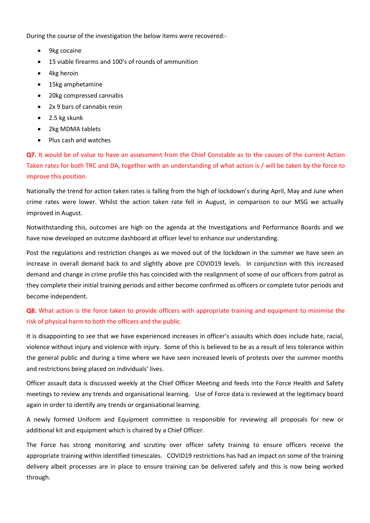During the course of the investigation the below items were recovered:-

- 9kg cocaine
- 15 viable firearms and 100's of rounds of ammunition
- 4kg heroin
- 15kg amphetamine
- 20kg compressed cannabis
- 2x 9 bars of cannabis resin
- 2.5 kg skunk
- 2kg MDMA tablets
- Plus cash and watches

Q7. It would be of value to have an assessment from the Chief Constable as to the causes of the current Action Taken rates for both TRC and DA, together with an understanding of what action is / will be taken by the force to improve this position.

Nationally the trend for action taken rates is falling from the high of lockdown's during April, May and June when crime rates were lower. Whilst the action taken rate fell in August, in comparison to our MSG we actually improved in August.

Notwithstanding this, outcomes are high on the agenda at the Investigations and Performance Boards and we have now developed an outcome dashboard at officer level to enhance our understanding.

Post the regulations and restriction changes as we moved out of the lockdown in the summer we have seen an increase in overall demand back to and slightly above pre COVID19 levels. In conjunction with this increased demand and change in crime profile this has coincided with the realignment of some of our officers from patrol as they complete their initial training periods and either become confirmed as officers or complete tutor periods and become independent.

## Q8. What action is the force taken to provide officers with appropriate training and equipment to minimise the risk of physical harm to both the officers and the public.

It is disappointing to see that we have experienced increases in officer's assaults which does include hate, racial, violence without injury and violence with injury. Some of this is believed to be as a result of less tolerance within the general public and during a time where we have seen increased levels of protests over the summer months and restrictions being placed on individuals' lives.

Officer assault data is discussed weekly at the Chief Officer Meeting and feeds into the Force Health and Safety meetings to review any trends and organisational learning. Use of Force data is reviewed at the legitimacy board again in order to identify any trends or organisational learning.

A newly formed Uniform and Equipment committee is responsible for reviewing all proposals for new or additional kit and equipment which is chaired by a Chief Officer.

The Force has strong monitoring and scrutiny over officer safety training to ensure officers receive the appropriate training within identified timescales. COVID19 restrictions has had an impact on some of the training delivery albeit processes are in place to ensure training can be delivered safely and this is now being worked through.